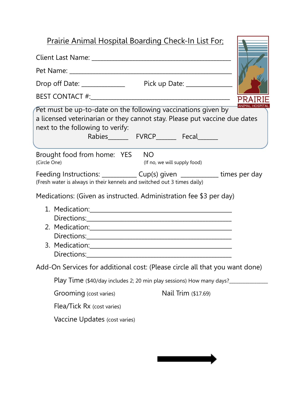## Prairie Animal Hospital Boarding Check-In List For:

| Pet must be up-to-date on the following vaccinations given by<br>a licensed veterinarian or they cannot stay. Please put vaccine due dates<br>next to the following to verify:<br>Rabies__________ FVRCP_________ Fecal________ | <b>ANIMAL HOSPI</b> |
|---------------------------------------------------------------------------------------------------------------------------------------------------------------------------------------------------------------------------------|---------------------|
| Brought food from home: YES NO<br>(Circle One)<br>(If no, we will supply food)                                                                                                                                                  |                     |
| Feeding Instructions: ______________ Cup(s) given ____________ times per day<br>(Fresh water is always in their kennels and switched out 3 times daily)                                                                         |                     |
| Medications: (Given as instructed. Administration fee \$3 per day)                                                                                                                                                              |                     |
| 2. Medication: 2008 2009 2009 2010 2010 2020 2020 2021 2022 2023 2024 2022 2023 2024 2022 2023 2024 2022 2023                                                                                                                   |                     |
| Add-On Services for additional cost: (Please circle all that you want done)                                                                                                                                                     |                     |
| Play Time (\$40/day includes 2; 20 min play sessions) How many days?_____________                                                                                                                                               |                     |
| Grooming (cost varies)<br>Nail Trim (\$17.69)                                                                                                                                                                                   |                     |
| Flea/Tick Rx (cost varies)                                                                                                                                                                                                      |                     |
| Vaccine Updates (cost varies)                                                                                                                                                                                                   |                     |